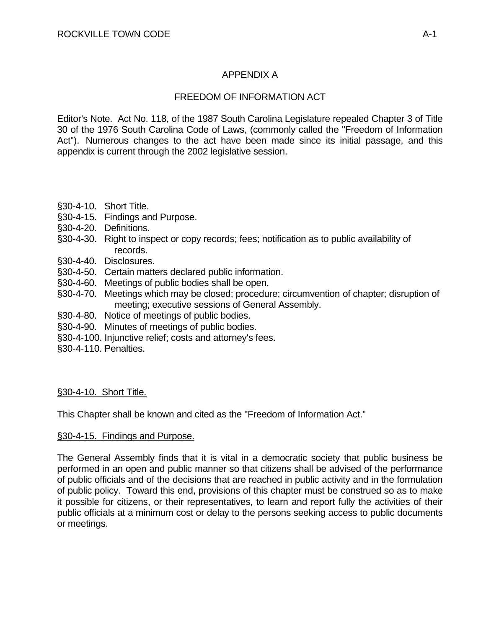# APPENDIX A

# FREEDOM OF INFORMATION ACT

Editor's Note. Act No. 118, of the 1987 South Carolina Legislature repealed Chapter 3 of Title 30 of the 1976 South Carolina Code of Laws, (commonly called the "Freedom of Information Act"). Numerous changes to the act have been made since its initial passage, and this appendix is current through the 2002 legislative session.

- §30-4-10. Short Title.
- §30-4-15. Findings and Purpose.
- §30-4-20. Definitions.
- §30-4-30. Right to inspect or copy records; fees; notification as to public availability of records.
- §30-4-40. Disclosures.
- §30-4-50. Certain matters declared public information.
- §30-4-60. Meetings of public bodies shall be open.
- §30-4-70. Meetings which may be closed; procedure; circumvention of chapter; disruption of meeting; executive sessions of General Assembly.
- §30-4-80. Notice of meetings of public bodies.
- §30-4-90. Minutes of meetings of public bodies.
- §30-4-100. Injunctive relief; costs and attorney's fees.
- §30-4-110. Penalties.

## §30-4-10. Short Title.

This Chapter shall be known and cited as the "Freedom of Information Act."

## §30-4-15. Findings and Purpose.

The General Assembly finds that it is vital in a democratic society that public business be performed in an open and public manner so that citizens shall be advised of the performance of public officials and of the decisions that are reached in public activity and in the formulation of public policy. Toward this end, provisions of this chapter must be construed so as to make it possible for citizens, or their representatives, to learn and report fully the activities of their public officials at a minimum cost or delay to the persons seeking access to public documents or meetings.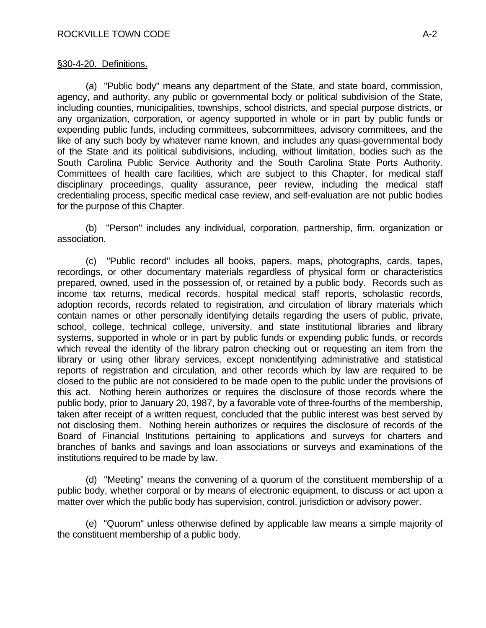### §30-4-20. Definitions.

 (a) "Public body" means any department of the State, and state board, commission, agency, and authority, any public or governmental body or political subdivision of the State, including counties, municipalities, townships, school districts, and special purpose districts, or any organization, corporation, or agency supported in whole or in part by public funds or expending public funds, including committees, subcommittees, advisory committees, and the like of any such body by whatever name known, and includes any quasi-governmental body of the State and its political subdivisions, including, without limitation, bodies such as the South Carolina Public Service Authority and the South Carolina State Ports Authority. Committees of health care facilities, which are subject to this Chapter, for medical staff disciplinary proceedings, quality assurance, peer review, including the medical staff credentialing process, specific medical case review, and self-evaluation are not public bodies for the purpose of this Chapter.

 (b) "Person" includes any individual, corporation, partnership, firm, organization or association.

 (c) "Public record" includes all books, papers, maps, photographs, cards, tapes, recordings, or other documentary materials regardless of physical form or characteristics prepared, owned, used in the possession of, or retained by a public body. Records such as income tax returns, medical records, hospital medical staff reports, scholastic records, adoption records, records related to registration, and circulation of library materials which contain names or other personally identifying details regarding the users of public, private, school, college, technical college, university, and state institutional libraries and library systems, supported in whole or in part by public funds or expending public funds, or records which reveal the identity of the library patron checking out or requesting an item from the library or using other library services, except nonidentifying administrative and statistical reports of registration and circulation, and other records which by law are required to be closed to the public are not considered to be made open to the public under the provisions of this act. Nothing herein authorizes or requires the disclosure of those records where the public body, prior to January 20, 1987, by a favorable vote of three-fourths of the membership, taken after receipt of a written request, concluded that the public interest was best served by not disclosing them. Nothing herein authorizes or requires the disclosure of records of the Board of Financial Institutions pertaining to applications and surveys for charters and branches of banks and savings and loan associations or surveys and examinations of the institutions required to be made by law.

 (d) "Meeting" means the convening of a quorum of the constituent membership of a public body, whether corporal or by means of electronic equipment, to discuss or act upon a matter over which the public body has supervision, control, jurisdiction or advisory power.

 (e) "Quorum" unless otherwise defined by applicable law means a simple majority of the constituent membership of a public body.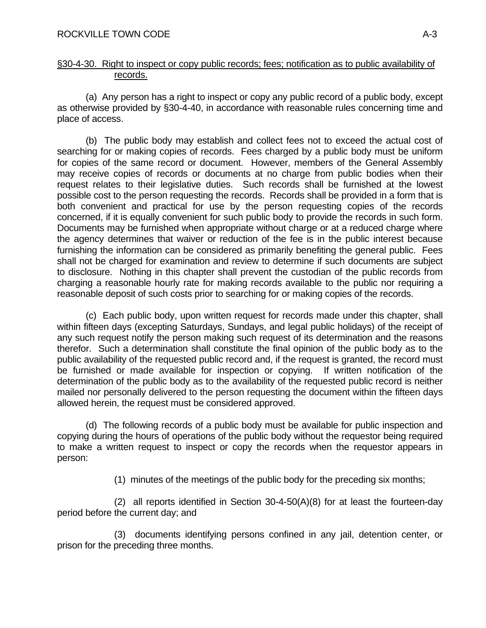### §30-4-30. Right to inspect or copy public records; fees; notification as to public availability of records.

 (a) Any person has a right to inspect or copy any public record of a public body, except as otherwise provided by §30-4-40, in accordance with reasonable rules concerning time and place of access.

 (b) The public body may establish and collect fees not to exceed the actual cost of searching for or making copies of records. Fees charged by a public body must be uniform for copies of the same record or document. However, members of the General Assembly may receive copies of records or documents at no charge from public bodies when their request relates to their legislative duties. Such records shall be furnished at the lowest possible cost to the person requesting the records. Records shall be provided in a form that is both convenient and practical for use by the person requesting copies of the records concerned, if it is equally convenient for such public body to provide the records in such form. Documents may be furnished when appropriate without charge or at a reduced charge where the agency determines that waiver or reduction of the fee is in the public interest because furnishing the information can be considered as primarily benefiting the general public. Fees shall not be charged for examination and review to determine if such documents are subject to disclosure. Nothing in this chapter shall prevent the custodian of the public records from charging a reasonable hourly rate for making records available to the public nor requiring a reasonable deposit of such costs prior to searching for or making copies of the records.

 (c) Each public body, upon written request for records made under this chapter, shall within fifteen days (excepting Saturdays, Sundays, and legal public holidays) of the receipt of any such request notify the person making such request of its determination and the reasons therefor. Such a determination shall constitute the final opinion of the public body as to the public availability of the requested public record and, if the request is granted, the record must be furnished or made available for inspection or copying. If written notification of the determination of the public body as to the availability of the requested public record is neither mailed nor personally delivered to the person requesting the document within the fifteen days allowed herein, the request must be considered approved.

 (d) The following records of a public body must be available for public inspection and copying during the hours of operations of the public body without the requestor being required to make a written request to inspect or copy the records when the requestor appears in person:

(1) minutes of the meetings of the public body for the preceding six months;

 (2) all reports identified in Section 30-4-50(A)(8) for at least the fourteen-day period before the current day; and

 (3) documents identifying persons confined in any jail, detention center, or prison for the preceding three months.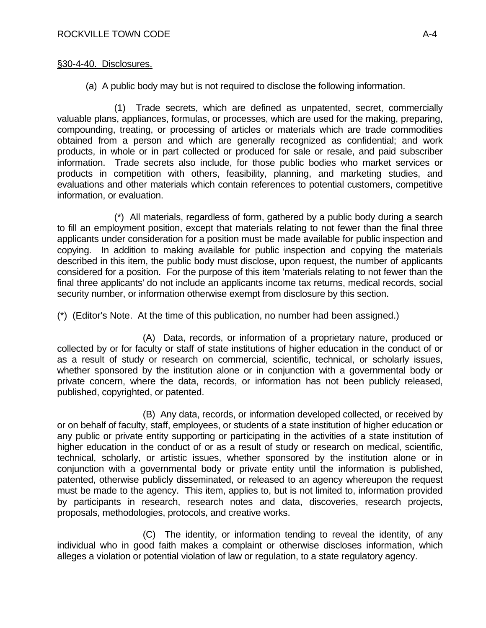(a) A public body may but is not required to disclose the following information.

 (1) Trade secrets, which are defined as unpatented, secret, commercially valuable plans, appliances, formulas, or processes, which are used for the making, preparing, compounding, treating, or processing of articles or materials which are trade commodities obtained from a person and which are generally recognized as confidential; and work products, in whole or in part collected or produced for sale or resale, and paid subscriber information. Trade secrets also include, for those public bodies who market services or products in competition with others, feasibility, planning, and marketing studies, and evaluations and other materials which contain references to potential customers, competitive information, or evaluation.

 (\*) All materials, regardless of form, gathered by a public body during a search to fill an employment position, except that materials relating to not fewer than the final three applicants under consideration for a position must be made available for public inspection and copying. In addition to making available for public inspection and copying the materials described in this item, the public body must disclose, upon request, the number of applicants considered for a position. For the purpose of this item 'materials relating to not fewer than the final three applicants' do not include an applicants income tax returns, medical records, social security number, or information otherwise exempt from disclosure by this section.

(\*) (Editor's Note. At the time of this publication, no number had been assigned.)

 (A) Data, records, or information of a proprietary nature, produced or collected by or for faculty or staff of state institutions of higher education in the conduct of or as a result of study or research on commercial, scientific, technical, or scholarly issues, whether sponsored by the institution alone or in conjunction with a governmental body or private concern, where the data, records, or information has not been publicly released, published, copyrighted, or patented.

 (B) Any data, records, or information developed collected, or received by or on behalf of faculty, staff, employees, or students of a state institution of higher education or any public or private entity supporting or participating in the activities of a state institution of higher education in the conduct of or as a result of study or research on medical, scientific, technical, scholarly, or artistic issues, whether sponsored by the institution alone or in conjunction with a governmental body or private entity until the information is published, patented, otherwise publicly disseminated, or released to an agency whereupon the request must be made to the agency. This item, applies to, but is not limited to, information provided by participants in research, research notes and data, discoveries, research projects, proposals, methodologies, protocols, and creative works.

 (C) The identity, or information tending to reveal the identity, of any individual who in good faith makes a complaint or otherwise discloses information, which alleges a violation or potential violation of law or regulation, to a state regulatory agency.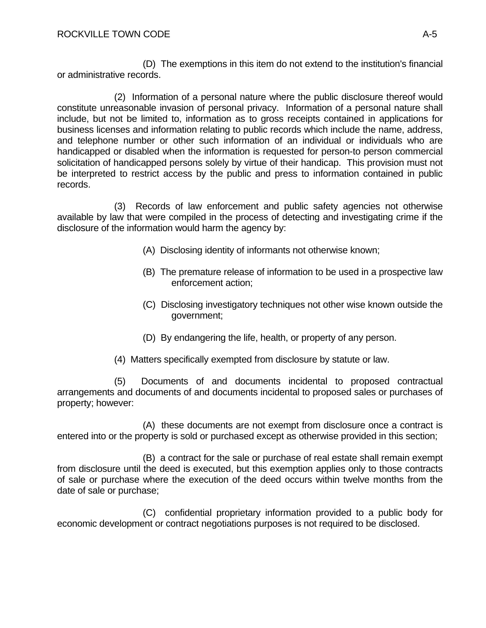(D) The exemptions in this item do not extend to the institution's financial or administrative records.

 (2) Information of a personal nature where the public disclosure thereof would constitute unreasonable invasion of personal privacy. Information of a personal nature shall include, but not be limited to, information as to gross receipts contained in applications for business licenses and information relating to public records which include the name, address, and telephone number or other such information of an individual or individuals who are handicapped or disabled when the information is requested for person-to person commercial solicitation of handicapped persons solely by virtue of their handicap. This provision must not be interpreted to restrict access by the public and press to information contained in public records.

 (3) Records of law enforcement and public safety agencies not otherwise available by law that were compiled in the process of detecting and investigating crime if the disclosure of the information would harm the agency by:

- (A) Disclosing identity of informants not otherwise known;
- (B) The premature release of information to be used in a prospective law enforcement action;
- (C) Disclosing investigatory techniques not other wise known outside the government;
- (D) By endangering the life, health, or property of any person.
- (4) Matters specifically exempted from disclosure by statute or law.

 (5) Documents of and documents incidental to proposed contractual arrangements and documents of and documents incidental to proposed sales or purchases of property; however:

 (A) these documents are not exempt from disclosure once a contract is entered into or the property is sold or purchased except as otherwise provided in this section;

 (B) a contract for the sale or purchase of real estate shall remain exempt from disclosure until the deed is executed, but this exemption applies only to those contracts of sale or purchase where the execution of the deed occurs within twelve months from the date of sale or purchase;

 (C) confidential proprietary information provided to a public body for economic development or contract negotiations purposes is not required to be disclosed.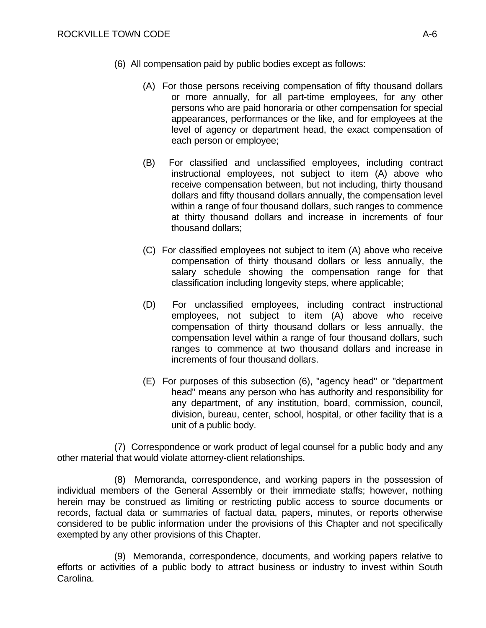- (6) All compensation paid by public bodies except as follows:
	- (A) For those persons receiving compensation of fifty thousand dollars or more annually, for all part-time employees, for any other persons who are paid honoraria or other compensation for special appearances, performances or the like, and for employees at the level of agency or department head, the exact compensation of each person or employee;
	- (B) For classified and unclassified employees, including contract instructional employees, not subject to item (A) above who receive compensation between, but not including, thirty thousand dollars and fifty thousand dollars annually, the compensation level within a range of four thousand dollars, such ranges to commence at thirty thousand dollars and increase in increments of four thousand dollars;
	- (C) For classified employees not subject to item (A) above who receive compensation of thirty thousand dollars or less annually, the salary schedule showing the compensation range for that classification including longevity steps, where applicable;
	- (D) For unclassified employees, including contract instructional employees, not subject to item (A) above who receive compensation of thirty thousand dollars or less annually, the compensation level within a range of four thousand dollars, such ranges to commence at two thousand dollars and increase in increments of four thousand dollars.
	- (E) For purposes of this subsection (6), "agency head" or "department head" means any person who has authority and responsibility for any department, of any institution, board, commission, council, division, bureau, center, school, hospital, or other facility that is a unit of a public body.

 (7) Correspondence or work product of legal counsel for a public body and any other material that would violate attorney-client relationships.

 (8) Memoranda, correspondence, and working papers in the possession of individual members of the General Assembly or their immediate staffs; however, nothing herein may be construed as limiting or restricting public access to source documents or records, factual data or summaries of factual data, papers, minutes, or reports otherwise considered to be public information under the provisions of this Chapter and not specifically exempted by any other provisions of this Chapter.

 (9) Memoranda, correspondence, documents, and working papers relative to efforts or activities of a public body to attract business or industry to invest within South Carolina.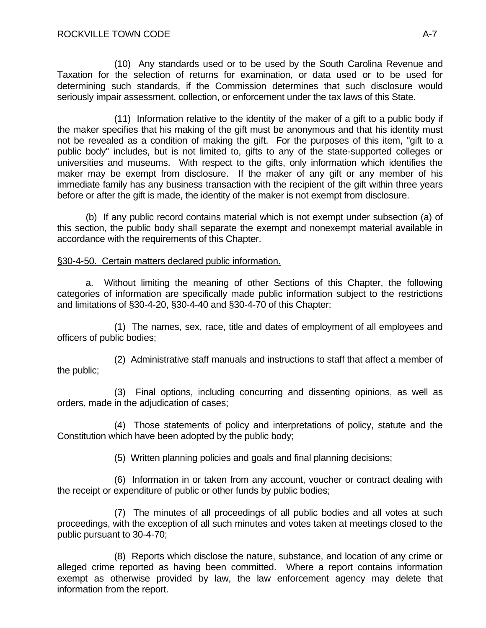(10) Any standards used or to be used by the South Carolina Revenue and Taxation for the selection of returns for examination, or data used or to be used for determining such standards, if the Commission determines that such disclosure would seriously impair assessment, collection, or enforcement under the tax laws of this State.

 (11) Information relative to the identity of the maker of a gift to a public body if the maker specifies that his making of the gift must be anonymous and that his identity must not be revealed as a condition of making the gift. For the purposes of this item, "gift to a public body" includes, but is not limited to, gifts to any of the state-supported colleges or universities and museums. With respect to the gifts, only information which identifies the maker may be exempt from disclosure. If the maker of any gift or any member of his immediate family has any business transaction with the recipient of the gift within three years before or after the gift is made, the identity of the maker is not exempt from disclosure.

 (b) If any public record contains material which is not exempt under subsection (a) of this section, the public body shall separate the exempt and nonexempt material available in accordance with the requirements of this Chapter.

## §30-4-50. Certain matters declared public information.

 a. Without limiting the meaning of other Sections of this Chapter, the following categories of information are specifically made public information subject to the restrictions and limitations of §30-4-20, §30-4-40 and §30-4-70 of this Chapter:

 (1) The names, sex, race, title and dates of employment of all employees and officers of public bodies;

 (2) Administrative staff manuals and instructions to staff that affect a member of the public;

 (3) Final options, including concurring and dissenting opinions, as well as orders, made in the adjudication of cases;

 (4) Those statements of policy and interpretations of policy, statute and the Constitution which have been adopted by the public body;

(5) Written planning policies and goals and final planning decisions;

 (6) Information in or taken from any account, voucher or contract dealing with the receipt or expenditure of public or other funds by public bodies;

 (7) The minutes of all proceedings of all public bodies and all votes at such proceedings, with the exception of all such minutes and votes taken at meetings closed to the public pursuant to 30-4-70;

 (8) Reports which disclose the nature, substance, and location of any crime or alleged crime reported as having been committed. Where a report contains information exempt as otherwise provided by law, the law enforcement agency may delete that information from the report.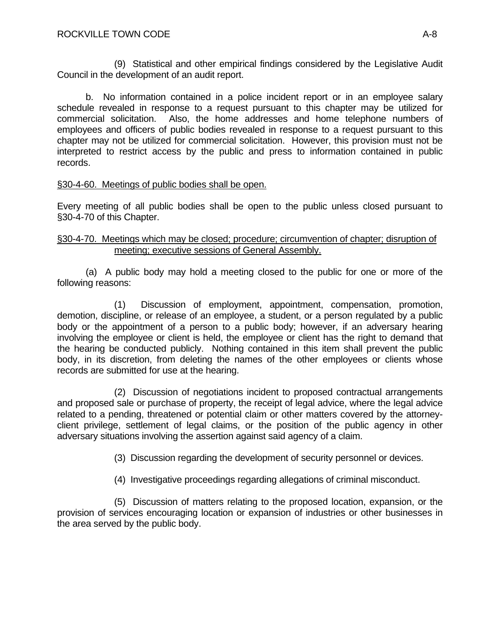(9) Statistical and other empirical findings considered by the Legislative Audit Council in the development of an audit report.

 b. No information contained in a police incident report or in an employee salary schedule revealed in response to a request pursuant to this chapter may be utilized for commercial solicitation. Also, the home addresses and home telephone numbers of employees and officers of public bodies revealed in response to a request pursuant to this chapter may not be utilized for commercial solicitation. However, this provision must not be interpreted to restrict access by the public and press to information contained in public records.

# §30-4-60. Meetings of public bodies shall be open.

Every meeting of all public bodies shall be open to the public unless closed pursuant to §30-4-70 of this Chapter.

## §30-4-70. Meetings which may be closed; procedure; circumvention of chapter; disruption of meeting; executive sessions of General Assembly.

 (a) A public body may hold a meeting closed to the public for one or more of the following reasons:

 (1) Discussion of employment, appointment, compensation, promotion, demotion, discipline, or release of an employee, a student, or a person regulated by a public body or the appointment of a person to a public body; however, if an adversary hearing involving the employee or client is held, the employee or client has the right to demand that the hearing be conducted publicly. Nothing contained in this item shall prevent the public body, in its discretion, from deleting the names of the other employees or clients whose records are submitted for use at the hearing.

 (2) Discussion of negotiations incident to proposed contractual arrangements and proposed sale or purchase of property, the receipt of legal advice, where the legal advice related to a pending, threatened or potential claim or other matters covered by the attorneyclient privilege, settlement of legal claims, or the position of the public agency in other adversary situations involving the assertion against said agency of a claim.

(3) Discussion regarding the development of security personnel or devices.

(4) Investigative proceedings regarding allegations of criminal misconduct.

 (5) Discussion of matters relating to the proposed location, expansion, or the provision of services encouraging location or expansion of industries or other businesses in the area served by the public body.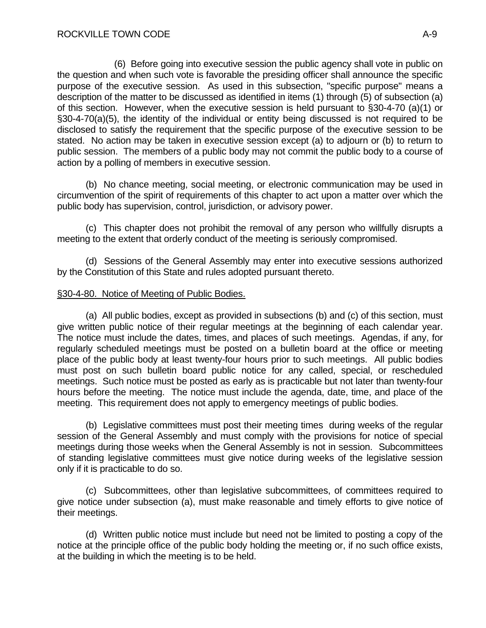(6) Before going into executive session the public agency shall vote in public on the question and when such vote is favorable the presiding officer shall announce the specific purpose of the executive session. As used in this subsection, "specific purpose" means a description of the matter to be discussed as identified in items (1) through (5) of subsection (a) of this section. However, when the executive session is held pursuant to §30-4-70 (a)(1) or §30-4-70(a)(5), the identity of the individual or entity being discussed is not required to be disclosed to satisfy the requirement that the specific purpose of the executive session to be stated. No action may be taken in executive session except (a) to adjourn or (b) to return to public session. The members of a public body may not commit the public body to a course of action by a polling of members in executive session.

 (b) No chance meeting, social meeting, or electronic communication may be used in circumvention of the spirit of requirements of this chapter to act upon a matter over which the public body has supervision, control, jurisdiction, or advisory power.

 (c) This chapter does not prohibit the removal of any person who willfully disrupts a meeting to the extent that orderly conduct of the meeting is seriously compromised.

 (d) Sessions of the General Assembly may enter into executive sessions authorized by the Constitution of this State and rules adopted pursuant thereto.

### §30-4-80. Notice of Meeting of Public Bodies.

 (a) All public bodies, except as provided in subsections (b) and (c) of this section, must give written public notice of their regular meetings at the beginning of each calendar year. The notice must include the dates, times, and places of such meetings. Agendas, if any, for regularly scheduled meetings must be posted on a bulletin board at the office or meeting place of the public body at least twenty-four hours prior to such meetings. All public bodies must post on such bulletin board public notice for any called, special, or rescheduled meetings. Such notice must be posted as early as is practicable but not later than twenty-four hours before the meeting. The notice must include the agenda, date, time, and place of the meeting. This requirement does not apply to emergency meetings of public bodies.

 (b) Legislative committees must post their meeting times during weeks of the regular session of the General Assembly and must comply with the provisions for notice of special meetings during those weeks when the General Assembly is not in session. Subcommittees of standing legislative committees must give notice during weeks of the legislative session only if it is practicable to do so.

 (c) Subcommittees, other than legislative subcommittees, of committees required to give notice under subsection (a), must make reasonable and timely efforts to give notice of their meetings.

 (d) Written public notice must include but need not be limited to posting a copy of the notice at the principle office of the public body holding the meeting or, if no such office exists, at the building in which the meeting is to be held.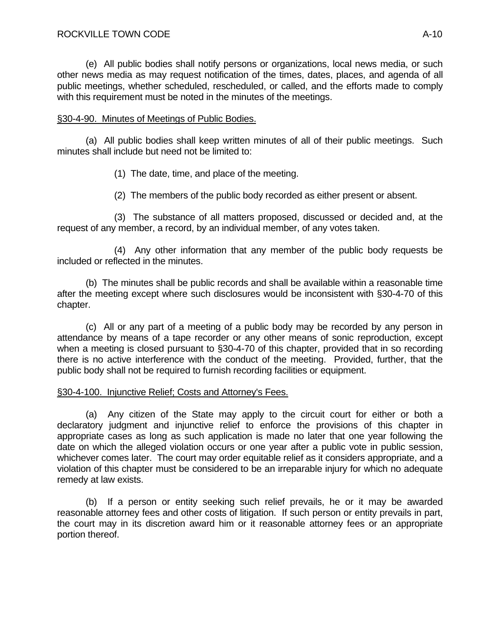(e) All public bodies shall notify persons or organizations, local news media, or such other news media as may request notification of the times, dates, places, and agenda of all public meetings, whether scheduled, rescheduled, or called, and the efforts made to comply with this requirement must be noted in the minutes of the meetings.

## §30-4-90. Minutes of Meetings of Public Bodies.

 (a) All public bodies shall keep written minutes of all of their public meetings. Such minutes shall include but need not be limited to:

(1) The date, time, and place of the meeting.

(2) The members of the public body recorded as either present or absent.

 (3) The substance of all matters proposed, discussed or decided and, at the request of any member, a record, by an individual member, of any votes taken.

 (4) Any other information that any member of the public body requests be included or reflected in the minutes.

 (b) The minutes shall be public records and shall be available within a reasonable time after the meeting except where such disclosures would be inconsistent with §30-4-70 of this chapter.

 (c) All or any part of a meeting of a public body may be recorded by any person in attendance by means of a tape recorder or any other means of sonic reproduction, except when a meeting is closed pursuant to §30-4-70 of this chapter, provided that in so recording there is no active interference with the conduct of the meeting. Provided, further, that the public body shall not be required to furnish recording facilities or equipment.

## §30-4-100. Injunctive Relief; Costs and Attorney's Fees.

 (a) Any citizen of the State may apply to the circuit court for either or both a declaratory judgment and injunctive relief to enforce the provisions of this chapter in appropriate cases as long as such application is made no later that one year following the date on which the alleged violation occurs or one year after a public vote in public session, whichever comes later. The court may order equitable relief as it considers appropriate, and a violation of this chapter must be considered to be an irreparable injury for which no adequate remedy at law exists.

 (b) If a person or entity seeking such relief prevails, he or it may be awarded reasonable attorney fees and other costs of litigation. If such person or entity prevails in part, the court may in its discretion award him or it reasonable attorney fees or an appropriate portion thereof.